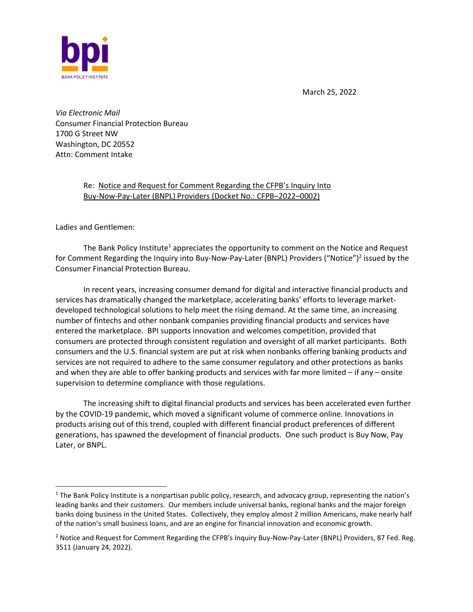

March 25, 2022

*Via Electronic Mail* Consumer Financial Protection Bureau 1700 G Street NW Washington, DC 20552 Attn: Comment Intake

> Re: Notice and Request for Comment Regarding the CFPB's Inquiry Into Buy-Now-Pay-Later (BNPL) Providers (Docket No.: CFPB–2022–0002)

Ladies and Gentlemen:

The Bank Policy Institute<sup>1</sup> appreciates the opportunity to comment on the Notice and Request for Comment Regarding the Inquiry into Buy-Now-Pay-Later (BNPL) Providers ("Notice")<sup>2</sup> issued by the Consumer Financial Protection Bureau.

In recent years, increasing consumer demand for digital and interactive financial products and services has dramatically changed the marketplace, accelerating banks' efforts to leverage marketdeveloped technological solutions to help meet the rising demand. At the same time, an increasing number of fintechs and other nonbank companies providing financial products and services have entered the marketplace. BPI supports innovation and welcomes competition, provided that consumers are protected through consistent regulation and oversight of all market participants. Both consumers and the U.S. financial system are put at risk when nonbanks offering banking products and services are not required to adhere to the same consumer regulatory and other protections as banks and when they are able to offer banking products and services with far more limited – if any – onsite supervision to determine compliance with those regulations.

The increasing shift to digital financial products and services has been accelerated even further by the COVID-19 pandemic, which moved a significant volume of commerce online. Innovations in products arising out of this trend, coupled with different financial product preferences of different generations, has spawned the development of financial products. One such product is Buy Now, Pay Later, or BNPL.

 $1$  The Bank Policy Institute is a nonpartisan public policy, research, and advocacy group, representing the nation's leading banks and their customers. Our members include universal banks, regional banks and the major foreign banks doing business in the United States. Collectively, they employ almost 2 million Americans, make nearly half of the nation's small business loans, and are an engine for financial innovation and economic growth.

<sup>&</sup>lt;sup>2</sup> Notice and Request for Comment Regarding the CFPB's Inquiry Buy-Now-Pay-Later (BNPL) Providers, 87 Fed. Reg. 3511 (January 24, 2022).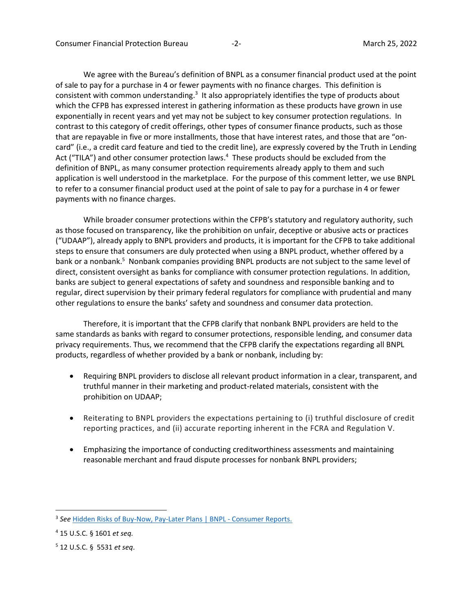We agree with the Bureau's definition of BNPL as a consumer financial product used at the point of sale to pay for a purchase in 4 or fewer payments with no finance charges. This definition is consistent with common understanding.<sup>3</sup> It also appropriately identifies the type of products about which the CFPB has expressed interest in gathering information as these products have grown in use exponentially in recent years and yet may not be subject to key consumer protection regulations. In contrast to this category of credit offerings, other types of consumer finance products, such as those that are repayable in five or more installments, those that have interest rates, and those that are "oncard" (i.e., a credit card feature and tied to the credit line), are expressly covered by the Truth in Lending Act ("TILA") and other consumer protection laws.<sup>4</sup> These products should be excluded from the definition of BNPL, as many consumer protection requirements already apply to them and such application is well understood in the marketplace. For the purpose of this comment letter, we use BNPL to refer to a consumer financial product used at the point of sale to pay for a purchase in 4 or fewer payments with no finance charges.

While broader consumer protections within the CFPB's statutory and regulatory authority, such as those focused on transparency, like the prohibition on unfair, deceptive or abusive acts or practices ("UDAAP"), already apply to BNPL providers and products, it is important for the CFPB to take additional steps to ensure that consumers are duly protected when using a BNPL product, whether offered by a bank or a nonbank.<sup>5</sup> Nonbank companies providing BNPL products are not subject to the same level of direct, consistent oversight as banks for compliance with consumer protection regulations. In addition, banks are subject to general expectations of safety and soundness and responsible banking and to regular, direct supervision by their primary federal regulators for compliance with prudential and many other regulations to ensure the banks' safety and soundness and consumer data protection.

Therefore, it is important that the CFPB clarify that nonbank BNPL providers are held to the same standards as banks with regard to consumer protections, responsible lending, and consumer data privacy requirements. Thus, we recommend that the CFPB clarify the expectations regarding all BNPL products, regardless of whether provided by a bank or nonbank, including by:

- Requiring BNPL providers to disclose all relevant product information in a clear, transparent, and truthful manner in their marketing and product-related materials, consistent with the prohibition on UDAAP;
- Reiterating to BNPL providers the expectations pertaining to (i) truthful disclosure of credit reporting practices, and (ii) accurate reporting inherent in the FCRA and Regulation V.
- Emphasizing the importance of conducting creditworthiness assessments and maintaining reasonable merchant and fraud dispute processes for nonbank BNPL providers;

<sup>&</sup>lt;sup>3</sup> See [Hidden Risks of Buy-Now, Pay-Later Plans | BNPL -](https://www.consumerreports.org/shopping-retail/hidden-risks-of-buy-now-pay-later-plans-a7495893275/) Consumer Reports.

<sup>4</sup> 15 U.S.C. § 1601 *et seq.*

<sup>5</sup> 12 U.S.C. § 5531 *et seq*.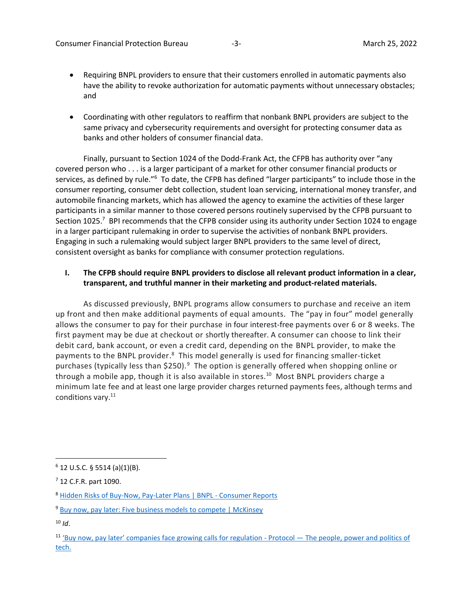- Requiring BNPL providers to ensure that their customers enrolled in automatic payments also have the ability to revoke authorization for automatic payments without unnecessary obstacles; and
- Coordinating with other regulators to reaffirm that nonbank BNPL providers are subject to the same privacy and cybersecurity requirements and oversight for protecting consumer data as banks and other holders of consumer financial data.

Finally, pursuant to Section 1024 of the Dodd-Frank Act, the CFPB has authority over "any covered person who . . . is a larger participant of a market for other consumer financial products or services, as defined by rule."<sup>6</sup> To date, the CFPB has defined "larger participants" to include those in the consumer reporting, consumer debt collection, student loan servicing, international money transfer, and automobile financing markets, which has allowed the agency to examine the activities of these larger participants in a similar manner to those covered persons routinely supervised by the CFPB pursuant to Section 1025.<sup>7</sup> BPI recommends that the CFPB consider using its authority under Section 1024 to engage in a larger participant rulemaking in order to supervise the activities of nonbank BNPL providers. Engaging in such a rulemaking would subject larger BNPL providers to the same level of direct, consistent oversight as banks for compliance with consumer protection regulations.

# **I. The CFPB should require BNPL providers to disclose all relevant product information in a clear, transparent, and truthful manner in their marketing and product-related materials.**

As discussed previously, BNPL programs allow consumers to purchase and receive an item up front and then make additional payments of equal amounts. The "pay in four" model generally allows the consumer to pay for their purchase in four interest-free payments over 6 or 8 weeks. The first payment may be due at checkout or shortly thereafter. A consumer can choose to link their debit card, bank account, or even a credit card, depending on the BNPL provider, to make the payments to the BNPL provider.<sup>8</sup> This model generally is used for financing smaller-ticket purchases (typically less than \$250).<sup>9</sup> The option is generally offered when shopping online or through a mobile app, though it is also available in stores.<sup>10</sup> Most BNPL providers charge a minimum late fee and at least one large provider charges returned payments fees, although terms and conditions vary.<sup>11</sup>

 $6$  12 U.S.C. § 5514 (a)(1)(B).

 $7$  12 C.F.R. part 1090.

<sup>8</sup> [Hidden Risks of Buy-Now, Pay-Later Plans | BNPL -](https://www.consumerreports.org/shopping-retail/hidden-risks-of-buy-now-pay-later-plans-a7495893275/) Consumer Reports

<sup>&</sup>lt;sup>9</sup> [Buy now, pay later: Five business models to compete | McKinsey](https://www.mckinsey.com/industries/financial-services/our-insights/buy-now-pay-later-five-business-models-to-compete)

 $10$  *Id.* 

 $11$  ['Buy now, pay later' companies face growing calls for regulation](https://www.protocol.com/fintech/buy-now-pay-later-holidays) - Protocol  $-$  The people, power and politics of [tech.](https://www.protocol.com/fintech/buy-now-pay-later-holidays)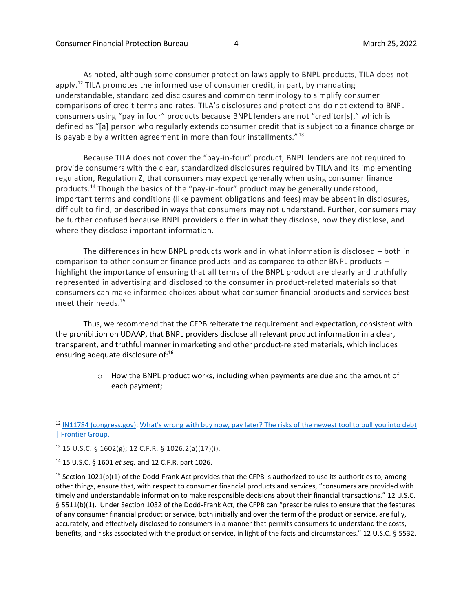As noted, although some consumer protection laws apply to BNPL products, TILA does not apply.<sup>12</sup> TILA promotes the informed use of consumer credit, in part, by mandating understandable, standardized disclosures and common terminology to simplify consumer comparisons of credit terms and rates. TILA's disclosures and protections do not extend to BNPL consumers using "pay in four" products because BNPL lenders are not "creditor[s]," which is defined as "[a] person who regularly extends consumer credit that is subject to a finance charge or is payable by a written agreement in more than four installments." $13$ 

Because TILA does not cover the "pay-in-four" product, BNPL lenders are not required to provide consumers with the clear, standardized disclosures required by TILA and its implementing regulation, Regulation Z, that consumers may expect generally when using consumer finance products.<sup>14</sup> Though the basics of the "pay-in-four" product may be generally understood, important terms and conditions (like payment obligations and fees) may be absent in disclosures, difficult to find, or described in ways that consumers may not understand. Further, consumers may be further confused because BNPL providers differ in what they disclose, how they disclose, and where they disclose important information.

The differences in how BNPL products work and in what information is disclosed – both in comparison to other consumer finance products and as compared to other BNPL products – highlight the importance of ensuring that all terms of the BNPL product are clearly and truthfully represented in advertising and disclosed to the consumer in product-related materials so that consumers can make informed choices about what consumer financial products and services best meet their needs. 15

Thus, we recommend that the CFPB reiterate the requirement and expectation, consistent with the prohibition on UDAAP, that BNPL providers disclose all relevant product information in a clear, transparent, and truthful manner in marketing and other product-related materials, which includes ensuring adequate disclosure of:<sup>16</sup>

> $\circ$  How the BNPL product works, including when payments are due and the amount of each payment;

<sup>&</sup>lt;sup>12</sup> [IN11784 \(congress.gov\);](https://crsreports.congress.gov/product/pdf/IN/IN11784) What's wrong with buy now, pay later? The risks of the newest tool to pull you into debt [| Frontier Group.](https://frontiergroup.org/blogs/blog/fg/whats-wrong-buy-now-pay-later-risks-newest-tool-pull-you-debt)

 $13$  15 U.S.C. § 1602(g); 12 C.F.R. § 1026.2(a)(17)(i).

<sup>14</sup> 15 U.S.C. § 1601 *et seq.* and 12 C.F.R. part 1026.

<sup>&</sup>lt;sup>15</sup> Section 1021(b)(1) of the Dodd-Frank Act provides that the CFPB is authorized to use its authorities to, among other things, ensure that, with respect to consumer financial products and services, "consumers are provided with timely and understandable information to make responsible decisions about their financial transactions." 12 U.S.C. § 5511(b)(1). Under Section 1032 of the Dodd-Frank Act, the CFPB can "prescribe rules to ensure that the features of any consumer financial product or service, both initially and over the term of the product or service, are fully, accurately, and effectively disclosed to consumers in a manner that permits consumers to understand the costs, benefits, and risks associated with the product or service, in light of the facts and circumstances." 12 U.S.C. § 5532.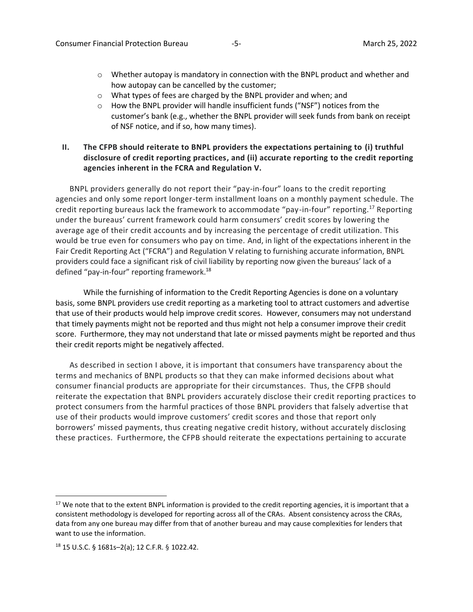- $\circ$  Whether autopay is mandatory in connection with the BNPL product and whether and how autopay can be cancelled by the customer;
- o What types of fees are charged by the BNPL provider and when; and
- o How the BNPL provider will handle insufficient funds ("NSF") notices from the customer's bank (e.g., whether the BNPL provider will seek funds from bank on receipt of NSF notice, and if so, how many times).

# **II. The CFPB should reiterate to BNPL providers the expectations pertaining to (i) truthful disclosure of credit reporting practices, and (ii) accurate reporting to the credit reporting agencies inherent in the FCRA and Regulation V.**

BNPL providers generally do not report their "pay-in-four" loans to the credit reporting agencies and only some report longer-term installment loans on a monthly payment schedule. The credit reporting bureaus lack the framework to accommodate "pay-in-four" reporting.<sup>17</sup> Reporting under the bureaus' current framework could harm consumers' credit scores by lowering the average age of their credit accounts and by increasing the percentage of credit utilization. This would be true even for consumers who pay on time. And, in light of the expectations inherent in the Fair Credit Reporting Act ("FCRA") and Regulation V relating to furnishing accurate information, BNPL providers could face a significant risk of civil liability by reporting now given the bureaus' lack of a defined "pay-in-four" reporting framework.<sup>18</sup>

While the furnishing of information to the Credit Reporting Agencies is done on a voluntary basis, some BNPL providers use credit reporting as a marketing tool to attract customers and advertise that use of their products would help improve credit scores. However, consumers may not understand that timely payments might not be reported and thus might not help a consumer improve their credit score. Furthermore, they may not understand that late or missed payments might be reported and thus their credit reports might be negatively affected.

As described in section I above, it is important that consumers have transparency about the terms and mechanics of BNPL products so that they can make informed decisions about what consumer financial products are appropriate for their circumstances. Thus, the CFPB should reiterate the expectation that BNPL providers accurately disclose their credit reporting practices to protect consumers from the harmful practices of those BNPL providers that falsely advertise that use of their products would improve customers' credit scores and those that report only borrowers' missed payments, thus creating negative credit history, without accurately disclosing these practices. Furthermore, the CFPB should reiterate the expectations pertaining to accurate

 $17$  We note that to the extent BNPL information is provided to the credit reporting agencies, it is important that a consistent methodology is developed for reporting across all of the CRAs. Absent consistency across the CRAs, data from any one bureau may differ from that of another bureau and may cause complexities for lenders that want to use the information.

<sup>18</sup> 15 U.S.C. § 1681s–2(a); 12 C.F.R. § 1022.42.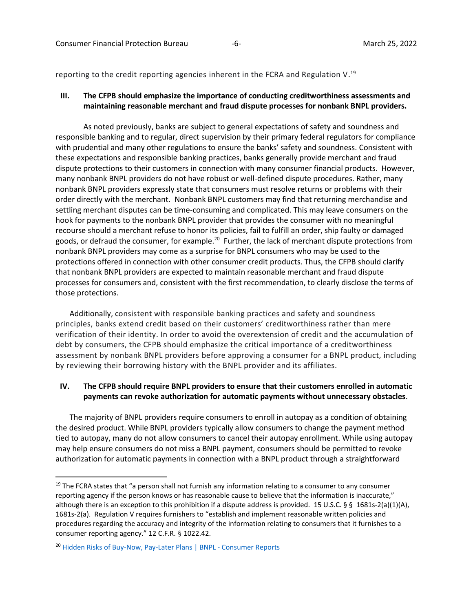reporting to the credit reporting agencies inherent in the FCRA and Regulation V.<sup>19</sup>

### **III. The CFPB should emphasize the importance of conducting creditworthiness assessments and maintaining reasonable merchant and fraud dispute processes for nonbank BNPL providers.**

As noted previously, banks are subject to general expectations of safety and soundness and responsible banking and to regular, direct supervision by their primary federal regulators for compliance with prudential and many other regulations to ensure the banks' safety and soundness. Consistent with these expectations and responsible banking practices, banks generally provide merchant and fraud dispute protections to their customers in connection with many consumer financial products. However, many nonbank BNPL providers do not have robust or well-defined dispute procedures. Rather, many nonbank BNPL providers expressly state that consumers must resolve returns or problems with their order directly with the merchant. Nonbank BNPL customers may find that returning merchandise and settling merchant disputes can be time-consuming and complicated. This may leave consumers on the hook for payments to the nonbank BNPL provider that provides the consumer with no meaningful recourse should a merchant refuse to honor its policies, fail to fulfill an order, ship faulty or damaged goods, or defraud the consumer, for example.<sup>20</sup> Further, the lack of merchant dispute protections from nonbank BNPL providers may come as a surprise for BNPL consumers who may be used to the protections offered in connection with other consumer credit products. Thus, the CFPB should clarify that nonbank BNPL providers are expected to maintain reasonable merchant and fraud dispute processes for consumers and, consistent with the first recommendation, to clearly disclose the terms of those protections.

Additionally, consistent with responsible banking practices and safety and soundness principles, banks extend credit based on their customers' creditworthiness rather than mere verification of their identity. In order to avoid the overextension of credit and the accumulation of debt by consumers, the CFPB should emphasize the critical importance of a creditworthiness assessment by nonbank BNPL providers before approving a consumer for a BNPL product, including by reviewing their borrowing history with the BNPL provider and its affiliates.

### **IV. The CFPB should require BNPL providers to ensure that their customers enrolled in automatic payments can revoke authorization for automatic payments without unnecessary obstacles**.

The majority of BNPL providers require consumers to enroll in autopay as a condition of obtaining the desired product. While BNPL providers typically allow consumers to change the payment method tied to autopay, many do not allow consumers to cancel their autopay enrollment. While using autopay may help ensure consumers do not miss a BNPL payment, consumers should be permitted to revoke authorization for automatic payments in connection with a BNPL product through a straightforward

<sup>&</sup>lt;sup>19</sup> The FCRA states that "a person shall not furnish any information relating to a consumer to any consumer reporting agency if the person knows or has reasonable cause to believe that the information is inaccurate," although there is an exception to this prohibition if a dispute address is provided. 15 U.S.C. § § 1681s-2(a)(1)(A), 1681s-2(a). Regulation V requires furnishers to "establish and implement reasonable written policies and procedures regarding the accuracy and integrity of the information relating to consumers that it furnishes to a consumer reporting agency." 12 C.F.R. § 1022.42.

<sup>&</sup>lt;sup>20</sup> [Hidden Risks of Buy-Now, Pay-Later Plans | BNPL -](https://www.consumerreports.org/shopping-retail/hidden-risks-of-buy-now-pay-later-plans-a7495893275/) Consumer Reports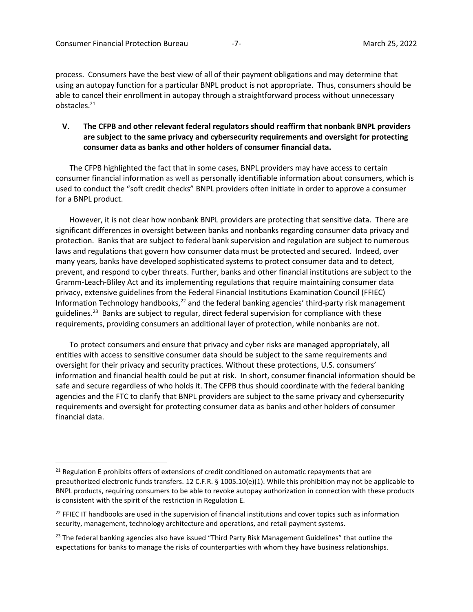process. Consumers have the best view of all of their payment obligations and may determine that using an autopay function for a particular BNPL product is not appropriate. Thus, consumers should be able to cancel their enrollment in autopay through a straightforward process without unnecessary obstacles. 21

# **V. The CFPB and other relevant federal regulators should reaffirm that nonbank BNPL providers are subject to the same privacy and cybersecurity requirements and oversight for protecting consumer data as banks and other holders of consumer financial data.**

The CFPB highlighted the fact that in some cases, BNPL providers may have access to certain consumer financial information as well as personally identifiable information about consumers, which is used to conduct the "soft credit checks" BNPL providers often initiate in order to approve a consumer for a BNPL product.

However, it is not clear how nonbank BNPL providers are protecting that sensitive data. There are significant differences in oversight between banks and nonbanks regarding consumer data privacy and protection. Banks that are subject to federal bank supervision and regulation are subject to numerous laws and regulations that govern how consumer data must be protected and secured. Indeed, over many years, banks have developed sophisticated systems to protect consumer data and to detect, prevent, and respond to cyber threats. Further, banks and other financial institutions are subject to the Gramm-Leach-Bliley Act and its implementing regulations that require maintaining consumer data privacy, extensive guidelines from the Federal Financial Institutions Examination Council (FFIEC) Information Technology handbooks, $22$  and the federal banking agencies' third-party risk management guidelines.<sup>23</sup> Banks are subject to regular, direct federal supervision for compliance with these requirements, providing consumers an additional layer of protection, while nonbanks are not.

To protect consumers and ensure that privacy and cyber risks are managed appropriately, all entities with access to sensitive consumer data should be subject to the same requirements and oversight for their privacy and security practices. Without these protections, U.S. consumers' information and financial health could be put at risk. In short, consumer financial information should be safe and secure regardless of who holds it. The CFPB thus should coordinate with the federal banking agencies and the FTC to clarify that BNPL providers are subject to the same privacy and cybersecurity requirements and oversight for protecting consumer data as banks and other holders of consumer financial data.

 $21$  Regulation E prohibits offers of extensions of credit conditioned on automatic repayments that are preauthorized electronic funds transfers. 12 C.F.R. § 1005.10(e)(1). While this prohibition may not be applicable to BNPL products, requiring consumers to be able to revoke autopay authorization in connection with these products is consistent with the spirit of the restriction in Regulation E.

 $22$  FFIEC IT handbooks are used in the supervision of financial institutions and cover topics such as information security, management, technology architecture and operations, and retail payment systems.

<sup>&</sup>lt;sup>23</sup> The federal banking agencies also have issued "Third Party Risk Management Guidelines" that outline the expectations for banks to manage the risks of counterparties with whom they have business relationships.